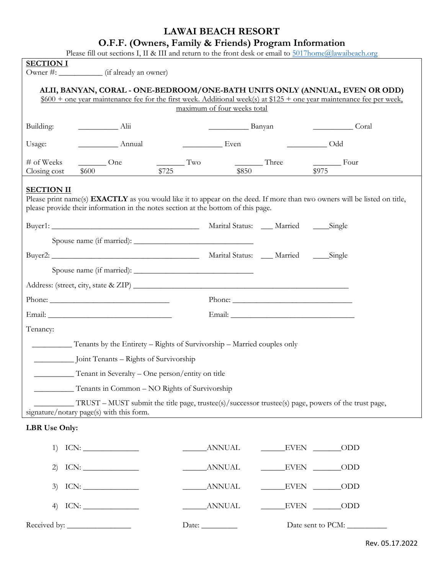## **LAWAI BEACH RESORT**

## **O.F.F. (Owners, Family & Friends) Program Information**

Please fill out sections I, II & III and return to the front desk or email to [5017home@lawaibeach.org](mailto:5017home@lawaibeach.org)

| <b>SECTION I</b>                                                                                                                                                                                                      | T Rase the out secuoits 1, 11 & 111 and fetuli to the front desk of chial to <u>bor monetal awaideach.org</u><br>Owner #: _____________ (if already an owner) |             |                                      |                                                                                                                                                                                                                                                                                                                                                                                                              |                                                                                                                                                                                                                                                                                                                                                                                                                               |  |  |  |  |  |  |
|-----------------------------------------------------------------------------------------------------------------------------------------------------------------------------------------------------------------------|---------------------------------------------------------------------------------------------------------------------------------------------------------------|-------------|--------------------------------------|--------------------------------------------------------------------------------------------------------------------------------------------------------------------------------------------------------------------------------------------------------------------------------------------------------------------------------------------------------------------------------------------------------------|-------------------------------------------------------------------------------------------------------------------------------------------------------------------------------------------------------------------------------------------------------------------------------------------------------------------------------------------------------------------------------------------------------------------------------|--|--|--|--|--|--|
|                                                                                                                                                                                                                       |                                                                                                                                                               |             |                                      |                                                                                                                                                                                                                                                                                                                                                                                                              |                                                                                                                                                                                                                                                                                                                                                                                                                               |  |  |  |  |  |  |
| ALII, BANYAN, CORAL - ONE-BEDROOM/ONE-BATH UNITS ONLY (ANNUAL, EVEN OR ODD)<br>$$600 +$ one year maintenance fee for the first week. Additional week(s) at \$125 + one year maintenance fee per week,                 |                                                                                                                                                               |             |                                      |                                                                                                                                                                                                                                                                                                                                                                                                              |                                                                                                                                                                                                                                                                                                                                                                                                                               |  |  |  |  |  |  |
| maximum of four weeks total                                                                                                                                                                                           |                                                                                                                                                               |             |                                      |                                                                                                                                                                                                                                                                                                                                                                                                              |                                                                                                                                                                                                                                                                                                                                                                                                                               |  |  |  |  |  |  |
| Building:                                                                                                                                                                                                             | $\frac{1}{1}$ Alii                                                                                                                                            |             | $\frac{1}{2}$ Banyan                 |                                                                                                                                                                                                                                                                                                                                                                                                              | <u>Coral</u>                                                                                                                                                                                                                                                                                                                                                                                                                  |  |  |  |  |  |  |
| Usage:                                                                                                                                                                                                                | Annual                                                                                                                                                        |             | $\overline{\phantom{a}}$ Odd<br>Even |                                                                                                                                                                                                                                                                                                                                                                                                              |                                                                                                                                                                                                                                                                                                                                                                                                                               |  |  |  |  |  |  |
| # of Weeks<br>Closing cost                                                                                                                                                                                            | $\frac{1}{2}$ One<br>\$600                                                                                                                                    | Tw<br>\$725 | $\frac{1}{100}$ Three                | \$850                                                                                                                                                                                                                                                                                                                                                                                                        | $\frac{1}{\sqrt{1-\frac{1}{2}}\sqrt{1-\frac{1}{2}}\sqrt{1-\frac{1}{2}}\sqrt{1-\frac{1}{2}}\sqrt{1-\frac{1}{2}}\sqrt{1-\frac{1}{2}}\sqrt{1-\frac{1}{2}}\sqrt{1-\frac{1}{2}}\sqrt{1-\frac{1}{2}}\sqrt{1-\frac{1}{2}}\sqrt{1-\frac{1}{2}}\sqrt{1-\frac{1}{2}}\sqrt{1-\frac{1}{2}}\sqrt{1-\frac{1}{2}}\sqrt{1-\frac{1}{2}}\sqrt{1-\frac{1}{2}}\sqrt{1-\frac{1}{2}}\sqrt{1-\frac{1}{2}}\sqrt{1-\frac{1}{2}}\sqrt{1-\frac$<br>\$975 |  |  |  |  |  |  |
|                                                                                                                                                                                                                       |                                                                                                                                                               |             |                                      |                                                                                                                                                                                                                                                                                                                                                                                                              |                                                                                                                                                                                                                                                                                                                                                                                                                               |  |  |  |  |  |  |
| <b>SECTION II</b>                                                                                                                                                                                                     |                                                                                                                                                               |             |                                      |                                                                                                                                                                                                                                                                                                                                                                                                              |                                                                                                                                                                                                                                                                                                                                                                                                                               |  |  |  |  |  |  |
| Please print name(s) <b>EXACTLY</b> as you would like it to appear on the deed. If more than two owners will be listed on title,<br>please provide their information in the notes section at the bottom of this page. |                                                                                                                                                               |             |                                      |                                                                                                                                                                                                                                                                                                                                                                                                              |                                                                                                                                                                                                                                                                                                                                                                                                                               |  |  |  |  |  |  |
|                                                                                                                                                                                                                       |                                                                                                                                                               |             |                                      |                                                                                                                                                                                                                                                                                                                                                                                                              |                                                                                                                                                                                                                                                                                                                                                                                                                               |  |  |  |  |  |  |
|                                                                                                                                                                                                                       |                                                                                                                                                               |             |                                      |                                                                                                                                                                                                                                                                                                                                                                                                              |                                                                                                                                                                                                                                                                                                                                                                                                                               |  |  |  |  |  |  |
|                                                                                                                                                                                                                       |                                                                                                                                                               |             |                                      |                                                                                                                                                                                                                                                                                                                                                                                                              |                                                                                                                                                                                                                                                                                                                                                                                                                               |  |  |  |  |  |  |
|                                                                                                                                                                                                                       |                                                                                                                                                               |             |                                      |                                                                                                                                                                                                                                                                                                                                                                                                              |                                                                                                                                                                                                                                                                                                                                                                                                                               |  |  |  |  |  |  |
|                                                                                                                                                                                                                       |                                                                                                                                                               |             |                                      |                                                                                                                                                                                                                                                                                                                                                                                                              |                                                                                                                                                                                                                                                                                                                                                                                                                               |  |  |  |  |  |  |
|                                                                                                                                                                                                                       |                                                                                                                                                               |             |                                      | Phone: $\frac{1}{\sqrt{1-\frac{1}{2}}\sqrt{1-\frac{1}{2}}\sqrt{1-\frac{1}{2}}\sqrt{1-\frac{1}{2}}\sqrt{1-\frac{1}{2}}\sqrt{1-\frac{1}{2}}\sqrt{1-\frac{1}{2}}\sqrt{1-\frac{1}{2}}\sqrt{1-\frac{1}{2}}\sqrt{1-\frac{1}{2}}\sqrt{1-\frac{1}{2}}\sqrt{1-\frac{1}{2}}\sqrt{1-\frac{1}{2}}\sqrt{1-\frac{1}{2}}\sqrt{1-\frac{1}{2}}\sqrt{1-\frac{1}{2}}\sqrt{1-\frac{1}{2}}\sqrt{1-\frac{1}{2}}\sqrt{1-\frac{1}{2$ |                                                                                                                                                                                                                                                                                                                                                                                                                               |  |  |  |  |  |  |
|                                                                                                                                                                                                                       |                                                                                                                                                               |             |                                      |                                                                                                                                                                                                                                                                                                                                                                                                              |                                                                                                                                                                                                                                                                                                                                                                                                                               |  |  |  |  |  |  |
| Tenancy:                                                                                                                                                                                                              |                                                                                                                                                               |             |                                      |                                                                                                                                                                                                                                                                                                                                                                                                              |                                                                                                                                                                                                                                                                                                                                                                                                                               |  |  |  |  |  |  |
| Tenants by the Entirety – Rights of Survivorship – Married couples only                                                                                                                                               |                                                                                                                                                               |             |                                      |                                                                                                                                                                                                                                                                                                                                                                                                              |                                                                                                                                                                                                                                                                                                                                                                                                                               |  |  |  |  |  |  |
| Joint Tenants – Rights of Survivorship                                                                                                                                                                                |                                                                                                                                                               |             |                                      |                                                                                                                                                                                                                                                                                                                                                                                                              |                                                                                                                                                                                                                                                                                                                                                                                                                               |  |  |  |  |  |  |
| Tenant in Severalty – One person/entity on title                                                                                                                                                                      |                                                                                                                                                               |             |                                      |                                                                                                                                                                                                                                                                                                                                                                                                              |                                                                                                                                                                                                                                                                                                                                                                                                                               |  |  |  |  |  |  |
| Tenants in Common - NO Rights of Survivorship                                                                                                                                                                         |                                                                                                                                                               |             |                                      |                                                                                                                                                                                                                                                                                                                                                                                                              |                                                                                                                                                                                                                                                                                                                                                                                                                               |  |  |  |  |  |  |
|                                                                                                                                                                                                                       | signature/notary page(s) with this form.                                                                                                                      |             |                                      |                                                                                                                                                                                                                                                                                                                                                                                                              | $TRUST - MUST$ submit the title page, trustee(s)/successor trustee(s) page, powers of the trust page,                                                                                                                                                                                                                                                                                                                         |  |  |  |  |  |  |
| LBR Use Only:                                                                                                                                                                                                         |                                                                                                                                                               |             |                                      |                                                                                                                                                                                                                                                                                                                                                                                                              |                                                                                                                                                                                                                                                                                                                                                                                                                               |  |  |  |  |  |  |
| 1)                                                                                                                                                                                                                    |                                                                                                                                                               |             | <b>ANNUAL</b>                        |                                                                                                                                                                                                                                                                                                                                                                                                              | ODD                                                                                                                                                                                                                                                                                                                                                                                                                           |  |  |  |  |  |  |
| 2)                                                                                                                                                                                                                    |                                                                                                                                                               |             | <b>ANNUAL</b>                        |                                                                                                                                                                                                                                                                                                                                                                                                              | ODD                                                                                                                                                                                                                                                                                                                                                                                                                           |  |  |  |  |  |  |
| 3)                                                                                                                                                                                                                    |                                                                                                                                                               |             | <b>ANNUAL</b>                        | $\_$ EVEN $\_$                                                                                                                                                                                                                                                                                                                                                                                               | ODD                                                                                                                                                                                                                                                                                                                                                                                                                           |  |  |  |  |  |  |
| 4)                                                                                                                                                                                                                    |                                                                                                                                                               |             | <b>ANNUAL</b>                        | <b>EVEN</b>                                                                                                                                                                                                                                                                                                                                                                                                  | ODD                                                                                                                                                                                                                                                                                                                                                                                                                           |  |  |  |  |  |  |

Received by: \_\_\_\_\_\_\_\_\_\_\_\_\_\_\_\_ Date: \_\_\_\_\_\_\_\_\_ Date sent to PCM: \_\_\_\_\_\_\_\_\_\_